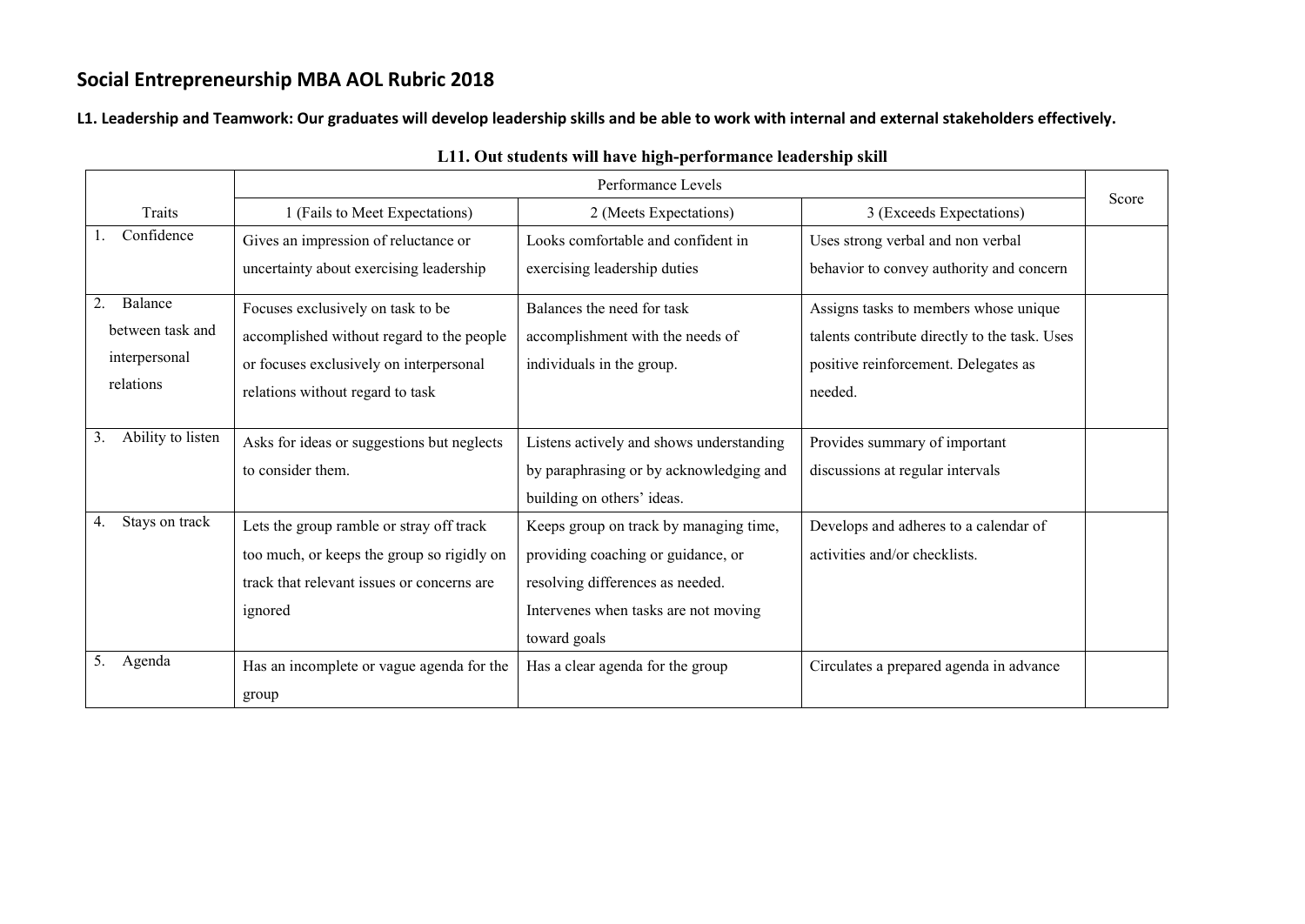**L1. Leadership and Teamwork: Our graduates will develop leadership skills and be able to work with internal and external stakeholders effectively.** 

|                         |                                            | Performance Levels                       |                                               | Score |
|-------------------------|--------------------------------------------|------------------------------------------|-----------------------------------------------|-------|
| Traits                  | 1 (Fails to Meet Expectations)             | 2 (Meets Expectations)                   | 3 (Exceeds Expectations)                      |       |
| Confidence              | Gives an impression of reluctance or       | Looks comfortable and confident in       | Uses strong verbal and non verbal             |       |
|                         | uncertainty about exercising leadership    | exercising leadership duties             | behavior to convey authority and concern      |       |
| 2.<br>Balance           | Focuses exclusively on task to be          | Balances the need for task               | Assigns tasks to members whose unique         |       |
| between task and        | accomplished without regard to the people  | accomplishment with the needs of         | talents contribute directly to the task. Uses |       |
| interpersonal           | or focuses exclusively on interpersonal    | individuals in the group.                | positive reinforcement. Delegates as          |       |
| relations               | relations without regard to task           |                                          | needed.                                       |       |
|                         |                                            |                                          |                                               |       |
| Ability to listen<br>3. | Asks for ideas or suggestions but neglects | Listens actively and shows understanding | Provides summary of important                 |       |
|                         | to consider them.                          | by paraphrasing or by acknowledging and  | discussions at regular intervals              |       |
|                         |                                            | building on others' ideas.               |                                               |       |
| Stays on track<br>4.    | Lets the group ramble or stray off track   | Keeps group on track by managing time,   | Develops and adheres to a calendar of         |       |
|                         | too much, or keeps the group so rigidly on | providing coaching or guidance, or       | activities and/or checklists.                 |       |
|                         | track that relevant issues or concerns are | resolving differences as needed.         |                                               |       |
|                         | ignored                                    | Intervenes when tasks are not moving     |                                               |       |
|                         |                                            | toward goals                             |                                               |       |
| 5.<br>Agenda            | Has an incomplete or vague agenda for the  | Has a clear agenda for the group         | Circulates a prepared agenda in advance       |       |
|                         | group                                      |                                          |                                               |       |
|                         |                                            |                                          |                                               |       |

### **L11. Out students will have high-performance leadership skill**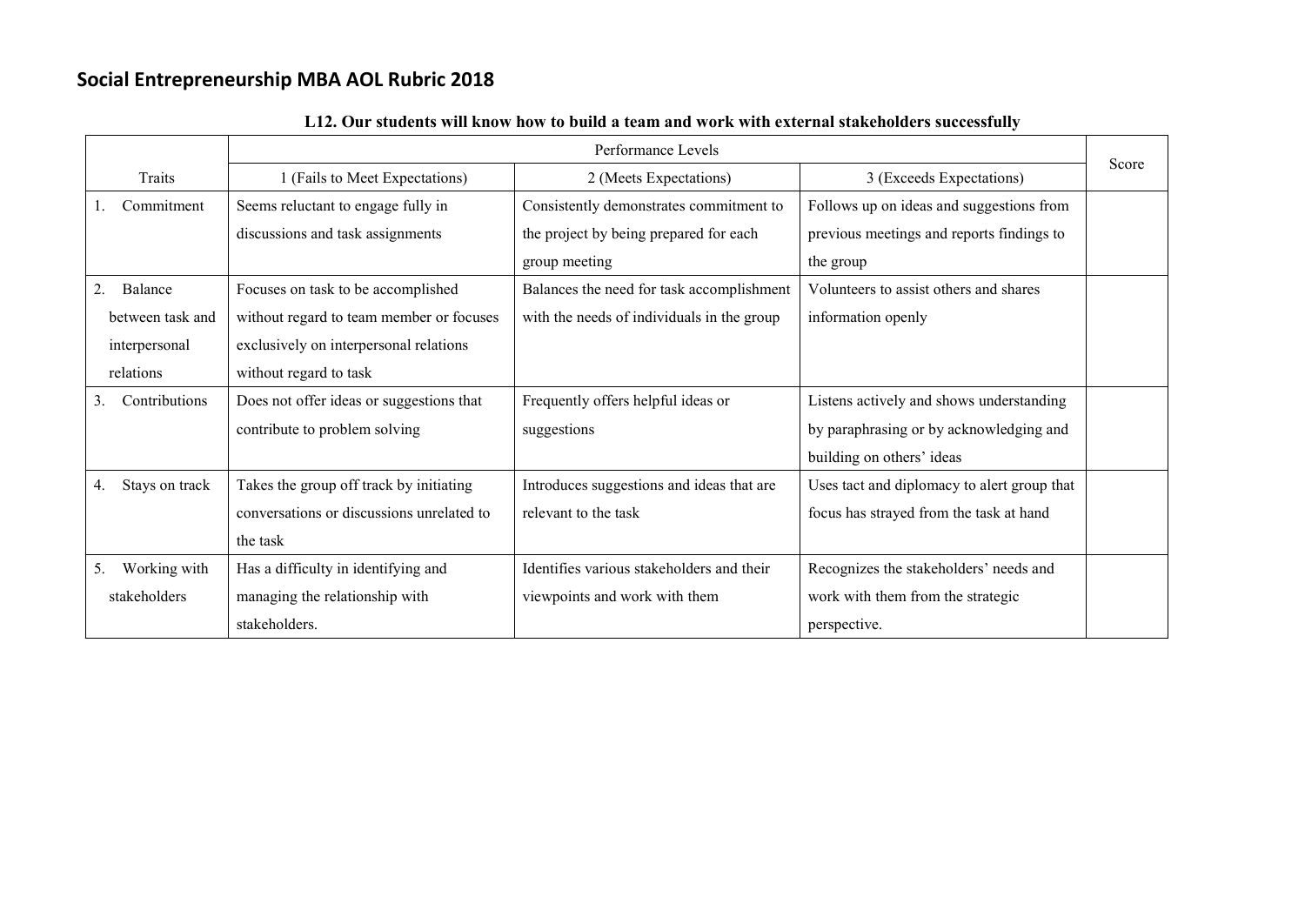|                      |                                           | Performance Levels                         |                                             | Score |
|----------------------|-------------------------------------------|--------------------------------------------|---------------------------------------------|-------|
| Traits               | 1 (Fails to Meet Expectations)            | 2 (Meets Expectations)                     | 3 (Exceeds Expectations)                    |       |
| Commitment           | Seems reluctant to engage fully in        | Consistently demonstrates commitment to    | Follows up on ideas and suggestions from    |       |
|                      | discussions and task assignments          | the project by being prepared for each     | previous meetings and reports findings to   |       |
|                      |                                           | group meeting                              | the group                                   |       |
| Balance<br>2.        | Focuses on task to be accomplished        | Balances the need for task accomplishment  | Volunteers to assist others and shares      |       |
| between task and     | without regard to team member or focuses  | with the needs of individuals in the group | information openly                          |       |
| interpersonal        | exclusively on interpersonal relations    |                                            |                                             |       |
| relations            | without regard to task                    |                                            |                                             |       |
| Contributions<br>3.  | Does not offer ideas or suggestions that  | Frequently offers helpful ideas or         | Listens actively and shows understanding    |       |
|                      | contribute to problem solving             | suggestions                                | by paraphrasing or by acknowledging and     |       |
|                      |                                           |                                            | building on others' ideas                   |       |
| Stays on track<br>4. | Takes the group off track by initiating   | Introduces suggestions and ideas that are  | Uses tact and diplomacy to alert group that |       |
|                      | conversations or discussions unrelated to | relevant to the task                       | focus has strayed from the task at hand     |       |
|                      | the task                                  |                                            |                                             |       |
| Working with<br>5.   | Has a difficulty in identifying and       | Identifies various stakeholders and their  | Recognizes the stakeholders' needs and      |       |
| stakeholders         | managing the relationship with            | viewpoints and work with them              | work with them from the strategic           |       |
|                      | stakeholders.                             |                                            | perspective.                                |       |

| L12. Our students will know how to build a team and work with external stakeholders successfully |  |
|--------------------------------------------------------------------------------------------------|--|
|--------------------------------------------------------------------------------------------------|--|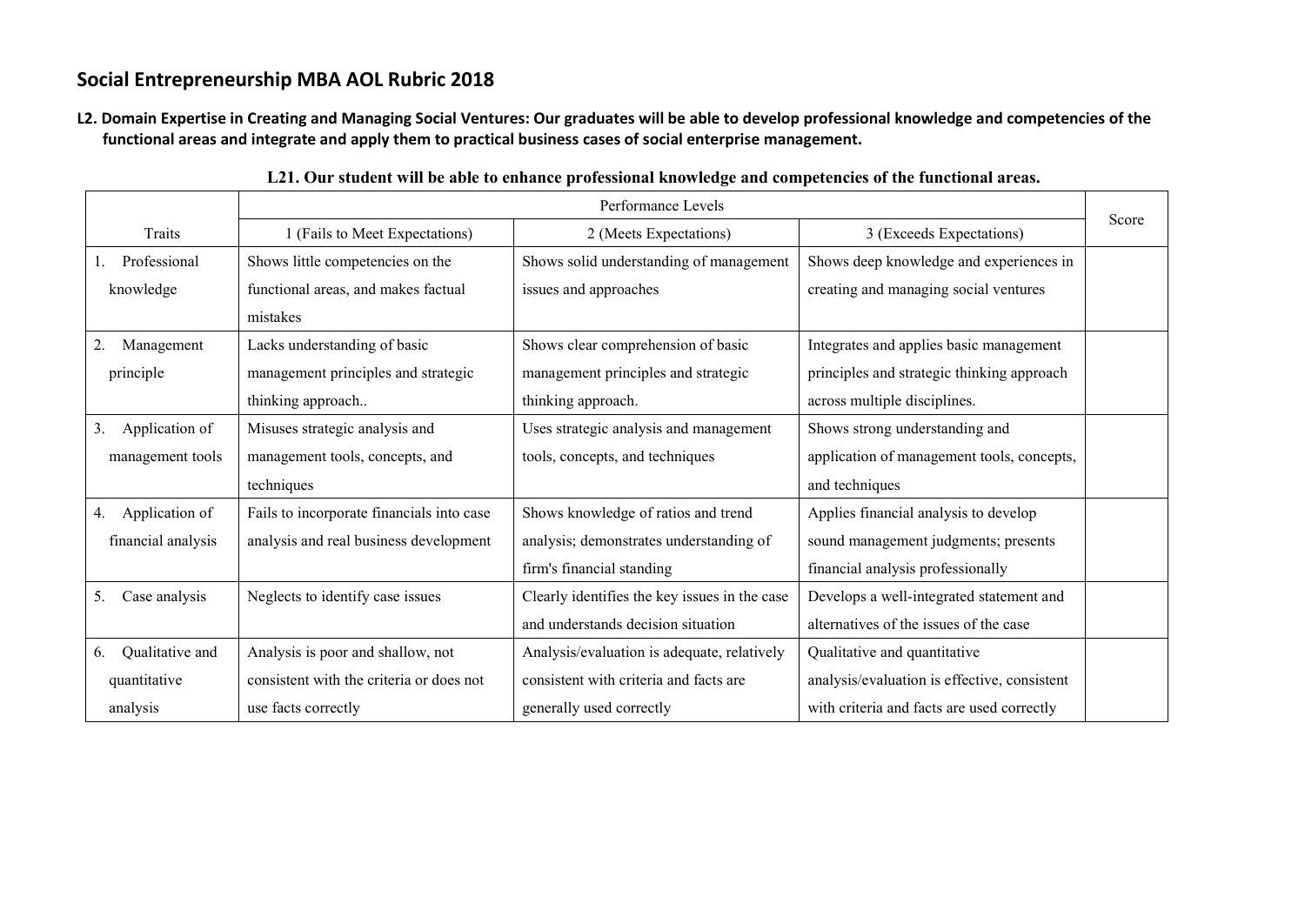**L2. Domain Expertise in Creating and Managing Social Ventures: Our graduates will be able to develop professional knowledge and competencies of the functional areas and integrate and apply them to practical business cases of social enterprise management.**

|                       | Performance Levels                        |                                               |                                              |       |
|-----------------------|-------------------------------------------|-----------------------------------------------|----------------------------------------------|-------|
| Traits                | 1 (Fails to Meet Expectations)            | 2 (Meets Expectations)                        | 3 (Exceeds Expectations)                     | Score |
| Professional          | Shows little competencies on the          | Shows solid understanding of management       | Shows deep knowledge and experiences in      |       |
| knowledge             | functional areas, and makes factual       | issues and approaches                         | creating and managing social ventures        |       |
|                       | mistakes                                  |                                               |                                              |       |
| 2.<br>Management      | Lacks understanding of basic              | Shows clear comprehension of basic            | Integrates and applies basic management      |       |
| principle             | management principles and strategic       | management principles and strategic           | principles and strategic thinking approach   |       |
|                       | thinking approach                         | thinking approach.                            | across multiple disciplines.                 |       |
| 3.<br>Application of  | Misuses strategic analysis and            | Uses strategic analysis and management        | Shows strong understanding and               |       |
| management tools      | management tools, concepts, and           | tools, concepts, and techniques               | application of management tools, concepts,   |       |
|                       | techniques                                |                                               | and techniques                               |       |
| Application of<br>4.  | Fails to incorporate financials into case | Shows knowledge of ratios and trend           | Applies financial analysis to develop        |       |
| financial analysis    | analysis and real business development    | analysis; demonstrates understanding of       | sound management judgments; presents         |       |
|                       |                                           | firm's financial standing                     | financial analysis professionally            |       |
| Case analysis<br>5.   | Neglects to identify case issues          | Clearly identifies the key issues in the case | Develops a well-integrated statement and     |       |
|                       |                                           | and understands decision situation            | alternatives of the issues of the case       |       |
| Qualitative and<br>6. | Analysis is poor and shallow, not         | Analysis/evaluation is adequate, relatively   | Qualitative and quantitative                 |       |
| quantitative          | consistent with the criteria or does not  | consistent with criteria and facts are        | analysis/evaluation is effective, consistent |       |
| analysis              | use facts correctly                       | generally used correctly                      | with criteria and facts are used correctly   |       |

|  |  | L21. Our student will be able to enhance professional knowledge and competencies of the functional areas. |  |
|--|--|-----------------------------------------------------------------------------------------------------------|--|
|  |  |                                                                                                           |  |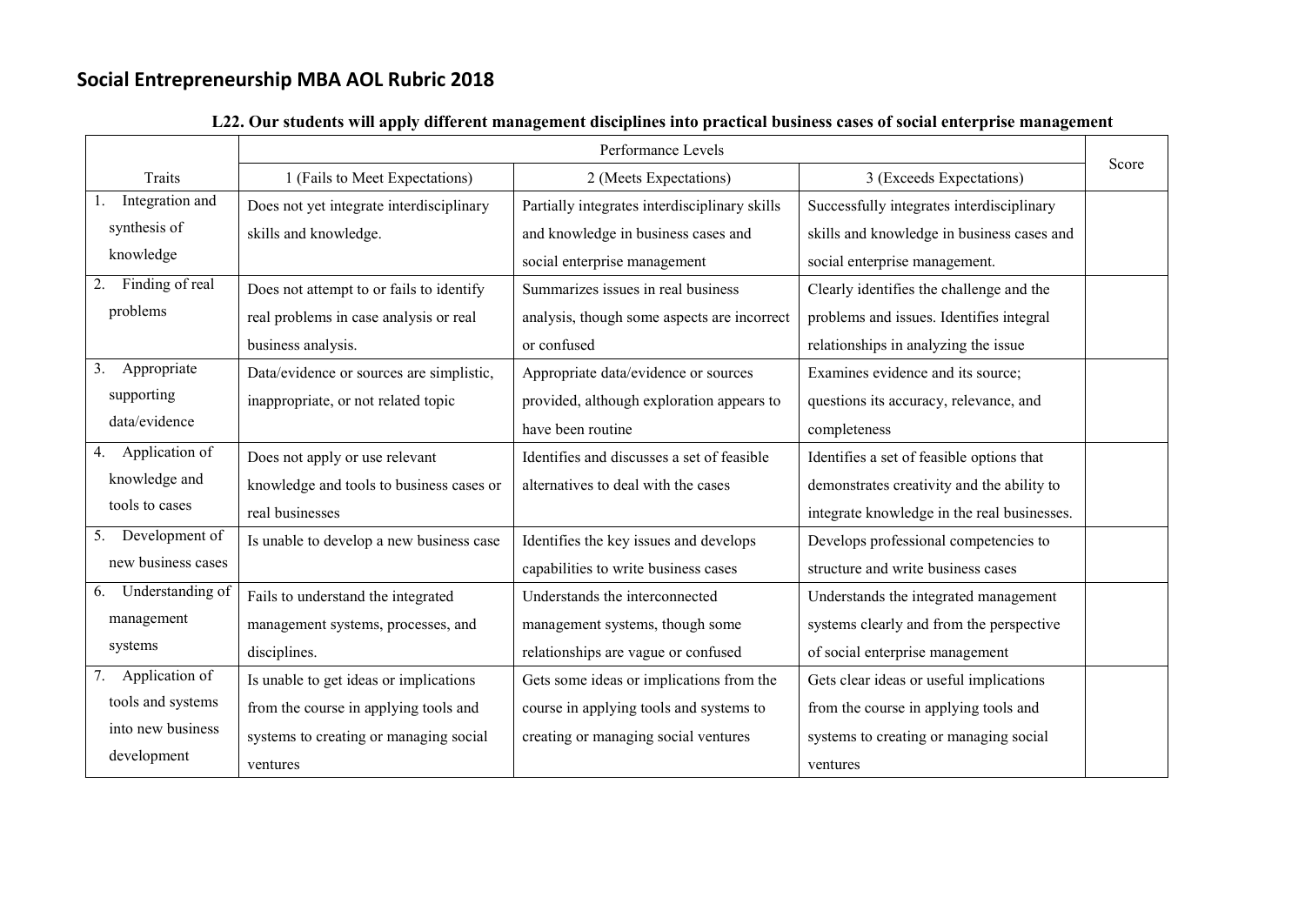|                        |                                          | Performance Levels                            |                                             | Score |
|------------------------|------------------------------------------|-----------------------------------------------|---------------------------------------------|-------|
| Traits                 | 1 (Fails to Meet Expectations)           | 2 (Meets Expectations)                        | 3 (Exceeds Expectations)                    |       |
| Integration and        | Does not yet integrate interdisciplinary | Partially integrates interdisciplinary skills | Successfully integrates interdisciplinary   |       |
| synthesis of           | skills and knowledge.                    | and knowledge in business cases and           | skills and knowledge in business cases and  |       |
| knowledge              |                                          | social enterprise management                  | social enterprise management.               |       |
| Finding of real<br>2.  | Does not attempt to or fails to identify | Summarizes issues in real business            | Clearly identifies the challenge and the    |       |
| problems               | real problems in case analysis or real   | analysis, though some aspects are incorrect   | problems and issues. Identifies integral    |       |
|                        | business analysis.                       | or confused                                   | relationships in analyzing the issue        |       |
| Appropriate<br>3.      | Data/evidence or sources are simplistic, | Appropriate data/evidence or sources          | Examines evidence and its source;           |       |
| supporting             | inappropriate, or not related topic      | provided, although exploration appears to     | questions its accuracy, relevance, and      |       |
| data/evidence          |                                          | have been routine                             | completeness                                |       |
| Application of<br>4.   | Does not apply or use relevant           | Identifies and discusses a set of feasible    | Identifies a set of feasible options that   |       |
| knowledge and          | knowledge and tools to business cases or | alternatives to deal with the cases           | demonstrates creativity and the ability to  |       |
| tools to cases         | real businesses                          |                                               | integrate knowledge in the real businesses. |       |
| Development of<br>5.   | Is unable to develop a new business case | Identifies the key issues and develops        | Develops professional competencies to       |       |
| new business cases     |                                          | capabilities to write business cases          | structure and write business cases          |       |
| Understanding of<br>6. | Fails to understand the integrated       | Understands the interconnected                | Understands the integrated management       |       |
| management             | management systems, processes, and       | management systems, though some               | systems clearly and from the perspective    |       |
| systems                | disciplines.                             | relationships are vague or confused           | of social enterprise management             |       |
| Application of<br>7.   | Is unable to get ideas or implications   | Gets some ideas or implications from the      | Gets clear ideas or useful implications     |       |
| tools and systems      | from the course in applying tools and    | course in applying tools and systems to       | from the course in applying tools and       |       |
| into new business      | systems to creating or managing social   | creating or managing social ventures          | systems to creating or managing social      |       |
| development            | ventures                                 |                                               | ventures                                    |       |

### **L22. Our students will apply different management disciplines into practical business cases of social enterprise management**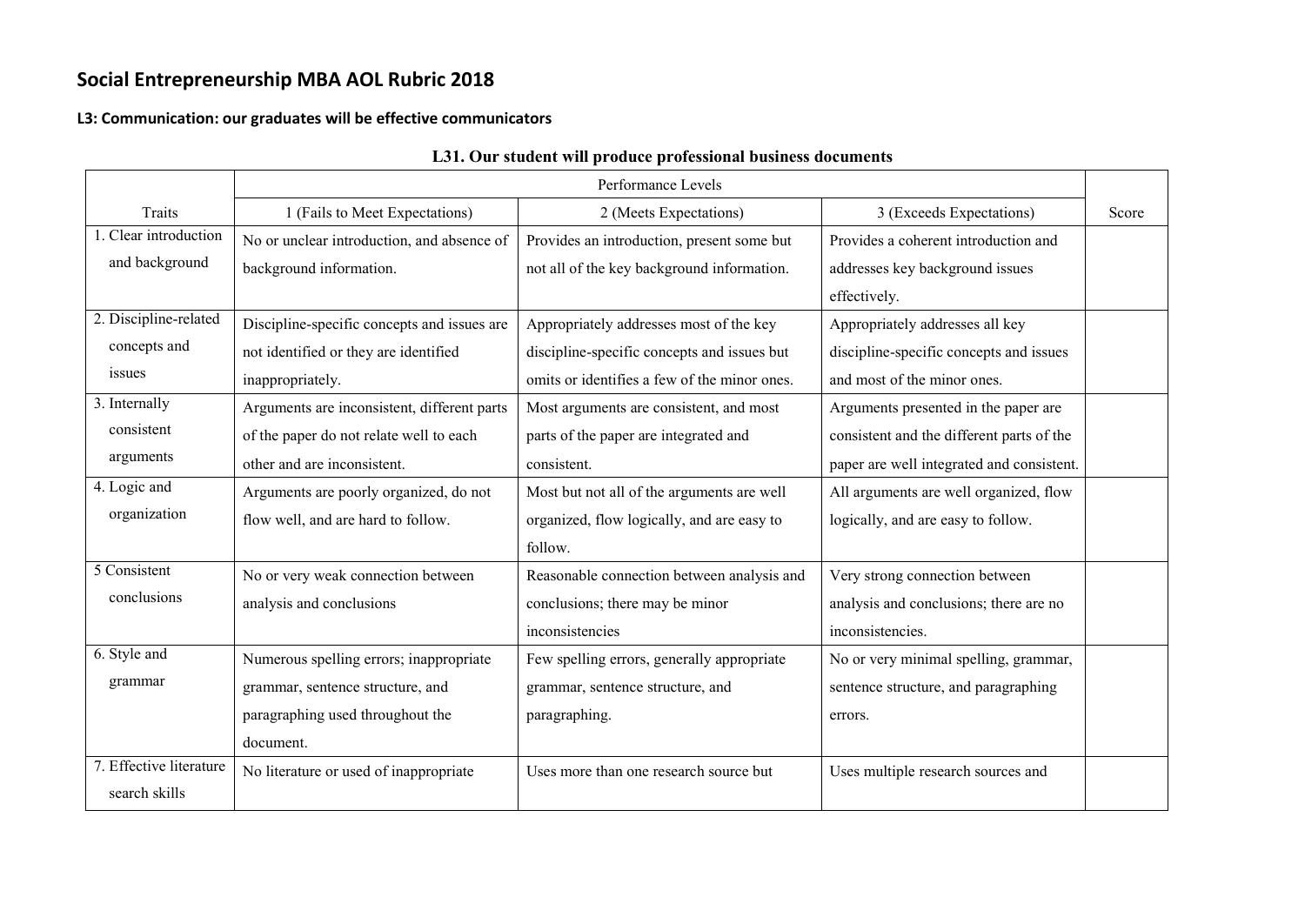#### **L3: Communication: our graduates will be effective communicators**

|                         | Performance Levels                          |                                              |                                           |       |
|-------------------------|---------------------------------------------|----------------------------------------------|-------------------------------------------|-------|
| Traits                  | 1 (Fails to Meet Expectations)              | 2 (Meets Expectations)                       | 3 (Exceeds Expectations)                  | Score |
| 1. Clear introduction   | No or unclear introduction, and absence of  | Provides an introduction, present some but   | Provides a coherent introduction and      |       |
| and background          | background information.                     | not all of the key background information.   | addresses key background issues           |       |
|                         |                                             |                                              | effectively.                              |       |
| 2. Discipline-related   | Discipline-specific concepts and issues are | Appropriately addresses most of the key      | Appropriately addresses all key           |       |
| concepts and            | not identified or they are identified       | discipline-specific concepts and issues but  | discipline-specific concepts and issues   |       |
| issues                  | inappropriately.                            | omits or identifies a few of the minor ones. | and most of the minor ones.               |       |
| 3. Internally           | Arguments are inconsistent, different parts | Most arguments are consistent, and most      | Arguments presented in the paper are      |       |
| consistent              | of the paper do not relate well to each     | parts of the paper are integrated and        | consistent and the different parts of the |       |
| arguments               | other and are inconsistent.                 | consistent.                                  | paper are well integrated and consistent. |       |
| 4. Logic and            | Arguments are poorly organized, do not      | Most but not all of the arguments are well   | All arguments are well organized, flow    |       |
| organization            | flow well, and are hard to follow.          | organized, flow logically, and are easy to   | logically, and are easy to follow.        |       |
|                         |                                             | follow.                                      |                                           |       |
| 5 Consistent            | No or very weak connection between          | Reasonable connection between analysis and   | Very strong connection between            |       |
| conclusions             | analysis and conclusions                    | conclusions; there may be minor              | analysis and conclusions; there are no    |       |
|                         |                                             | inconsistencies                              | inconsistencies.                          |       |
| 6. Style and            | Numerous spelling errors; inappropriate     | Few spelling errors, generally appropriate   | No or very minimal spelling, grammar,     |       |
| grammar                 | grammar, sentence structure, and            | grammar, sentence structure, and             | sentence structure, and paragraphing      |       |
|                         | paragraphing used throughout the            | paragraphing.                                | errors.                                   |       |
|                         | document.                                   |                                              |                                           |       |
| 7. Effective literature | No literature or used of inappropriate      | Uses more than one research source but       | Uses multiple research sources and        |       |
| search skills           |                                             |                                              |                                           |       |

### **L31. Our student will produce professional business documents**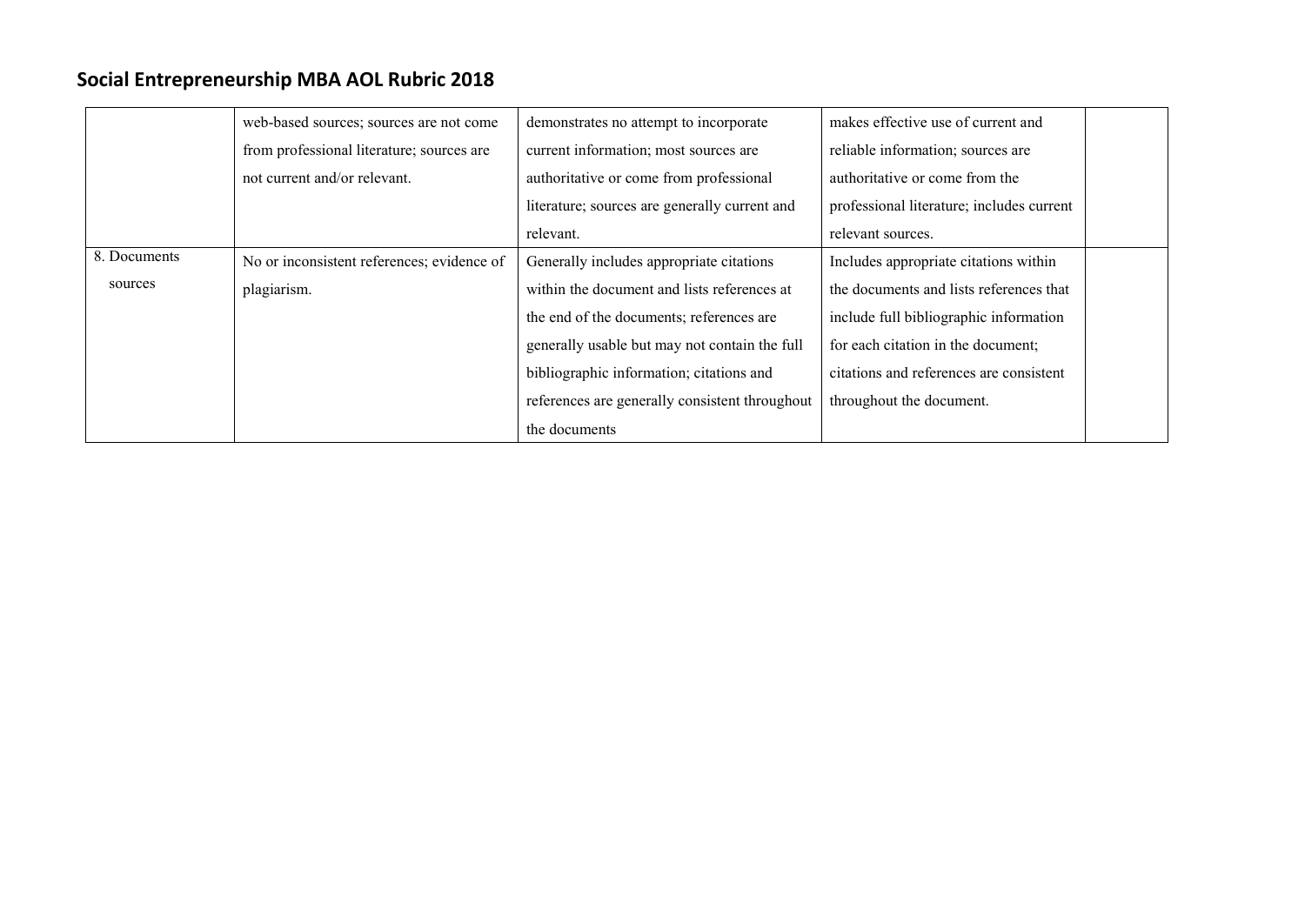|              | web-based sources; sources are not come    | demonstrates no attempt to incorporate         | makes effective use of current and        |
|--------------|--------------------------------------------|------------------------------------------------|-------------------------------------------|
|              | from professional literature; sources are  | current information; most sources are          | reliable information; sources are         |
|              | not current and/or relevant.               | authoritative or come from professional        | authoritative or come from the            |
|              |                                            | literature; sources are generally current and  | professional literature; includes current |
|              |                                            | relevant.                                      | relevant sources.                         |
| 8. Documents | No or inconsistent references; evidence of | Generally includes appropriate citations       | Includes appropriate citations within     |
| sources      | plagiarism.                                | within the document and lists references at    | the documents and lists references that   |
|              |                                            | the end of the documents; references are       | include full bibliographic information    |
|              |                                            | generally usable but may not contain the full  | for each citation in the document;        |
|              |                                            | bibliographic information; citations and       | citations and references are consistent   |
|              |                                            | references are generally consistent throughout | throughout the document.                  |
|              |                                            | the documents                                  |                                           |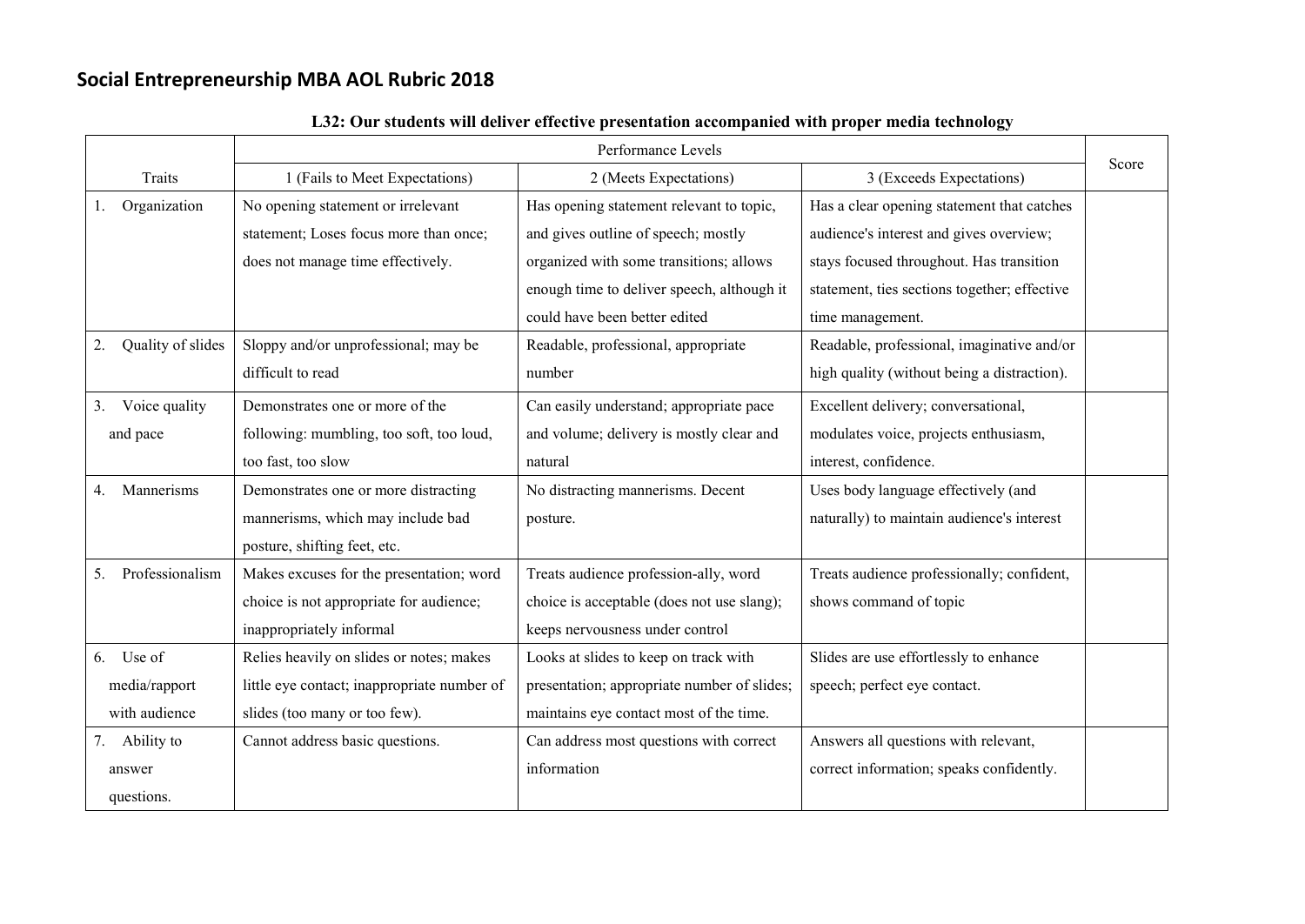|                         |                                             | Performance Levels                          |                                              |       |
|-------------------------|---------------------------------------------|---------------------------------------------|----------------------------------------------|-------|
| Traits                  | 1 (Fails to Meet Expectations)              | 2 (Meets Expectations)                      | 3 (Exceeds Expectations)                     | Score |
| Organization            | No opening statement or irrelevant          | Has opening statement relevant to topic,    | Has a clear opening statement that catches   |       |
|                         | statement; Loses focus more than once;      | and gives outline of speech; mostly         | audience's interest and gives overview;      |       |
|                         | does not manage time effectively.           | organized with some transitions; allows     | stays focused throughout. Has transition     |       |
|                         |                                             | enough time to deliver speech, although it  | statement, ties sections together; effective |       |
|                         |                                             | could have been better edited               | time management.                             |       |
| Quality of slides<br>2. | Sloppy and/or unprofessional; may be        | Readable, professional, appropriate         | Readable, professional, imaginative and/or   |       |
|                         | difficult to read                           | number                                      | high quality (without being a distraction).  |       |
| Voice quality<br>3.     | Demonstrates one or more of the             | Can easily understand; appropriate pace     | Excellent delivery; conversational,          |       |
| and pace                | following: mumbling, too soft, too loud,    | and volume; delivery is mostly clear and    | modulates voice, projects enthusiasm,        |       |
|                         | too fast, too slow                          | natural                                     | interest, confidence.                        |       |
| Mannerisms<br>4.        | Demonstrates one or more distracting        | No distracting mannerisms. Decent           | Uses body language effectively (and          |       |
|                         | mannerisms, which may include bad           | posture.                                    | naturally) to maintain audience's interest   |       |
|                         | posture, shifting feet, etc.                |                                             |                                              |       |
| Professionalism<br>5.   | Makes excuses for the presentation; word    | Treats audience profession-ally, word       | Treats audience professionally; confident,   |       |
|                         | choice is not appropriate for audience;     | choice is acceptable (does not use slang);  | shows command of topic                       |       |
|                         | inappropriately informal                    | keeps nervousness under control             |                                              |       |
| 6. Use of               | Relies heavily on slides or notes; makes    | Looks at slides to keep on track with       | Slides are use effortlessly to enhance       |       |
| media/rapport           | little eye contact; inappropriate number of | presentation; appropriate number of slides; | speech; perfect eye contact.                 |       |
| with audience           | slides (too many or too few).               | maintains eye contact most of the time.     |                                              |       |
| 7. Ability to           | Cannot address basic questions.             | Can address most questions with correct     | Answers all questions with relevant,         |       |
| answer                  |                                             | information                                 | correct information; speaks confidently.     |       |
| questions.              |                                             |                                             |                                              |       |

### **L32: Our students will deliver effective presentation accompanied with proper media technology**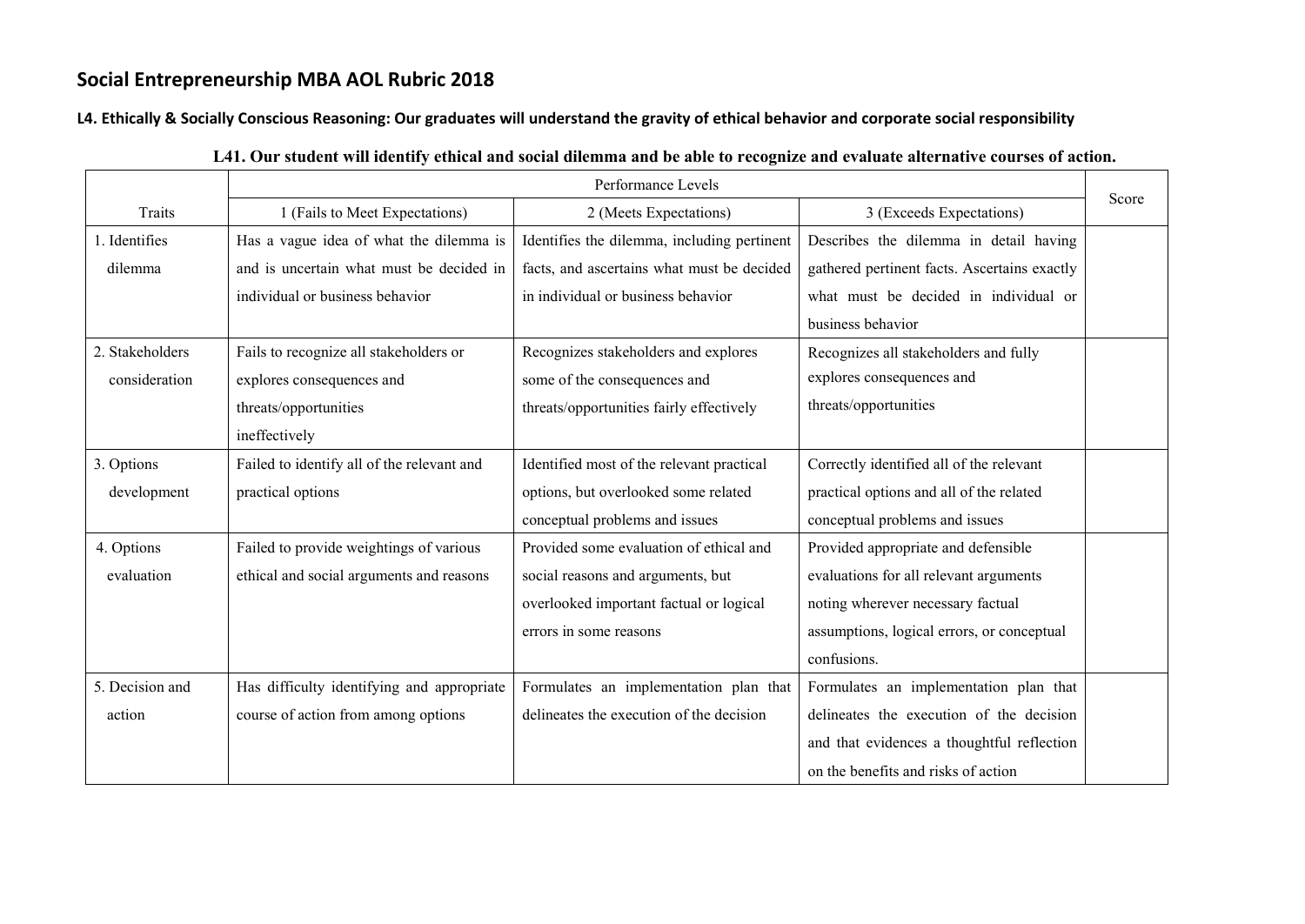**L4. Ethically & Socially Conscious Reasoning: Our graduates will understand the gravity of ethical behavior and corporate social responsibility**

|                 | Performance Levels                         |                                             |                                              |       |
|-----------------|--------------------------------------------|---------------------------------------------|----------------------------------------------|-------|
| Traits          | 1 (Fails to Meet Expectations)             | 2 (Meets Expectations)                      | 3 (Exceeds Expectations)                     | Score |
| 1. Identifies   | Has a vague idea of what the dilemma is    | Identifies the dilemma, including pertinent | Describes the dilemma in detail having       |       |
| dilemma         | and is uncertain what must be decided in   | facts, and ascertains what must be decided  | gathered pertinent facts. Ascertains exactly |       |
|                 | individual or business behavior            | in individual or business behavior          | what must be decided in individual or        |       |
|                 |                                            |                                             | business behavior                            |       |
| 2. Stakeholders | Fails to recognize all stakeholders or     | Recognizes stakeholders and explores        | Recognizes all stakeholders and fully        |       |
| consideration   | explores consequences and                  | some of the consequences and                | explores consequences and                    |       |
|                 | threats/opportunities                      | threats/opportunities fairly effectively    | threats/opportunities                        |       |
|                 | ineffectively                              |                                             |                                              |       |
| 3. Options      | Failed to identify all of the relevant and | Identified most of the relevant practical   | Correctly identified all of the relevant     |       |
| development     | practical options                          | options, but overlooked some related        | practical options and all of the related     |       |
|                 |                                            | conceptual problems and issues              | conceptual problems and issues               |       |
| 4. Options      | Failed to provide weightings of various    | Provided some evaluation of ethical and     | Provided appropriate and defensible          |       |
| evaluation      | ethical and social arguments and reasons   | social reasons and arguments, but           | evaluations for all relevant arguments       |       |
|                 |                                            | overlooked important factual or logical     | noting wherever necessary factual            |       |
|                 |                                            | errors in some reasons                      | assumptions, logical errors, or conceptual   |       |
|                 |                                            |                                             | confusions.                                  |       |
| 5. Decision and | Has difficulty identifying and appropriate | Formulates an implementation plan that      | Formulates an implementation plan that       |       |
| action          | course of action from among options        | delineates the execution of the decision    | delineates the execution of the decision     |       |
|                 |                                            |                                             | and that evidences a thoughtful reflection   |       |
|                 |                                            |                                             | on the benefits and risks of action          |       |

#### **L41. Our student will identify ethical and social dilemma and be able to recognize and evaluate alternative courses of action.**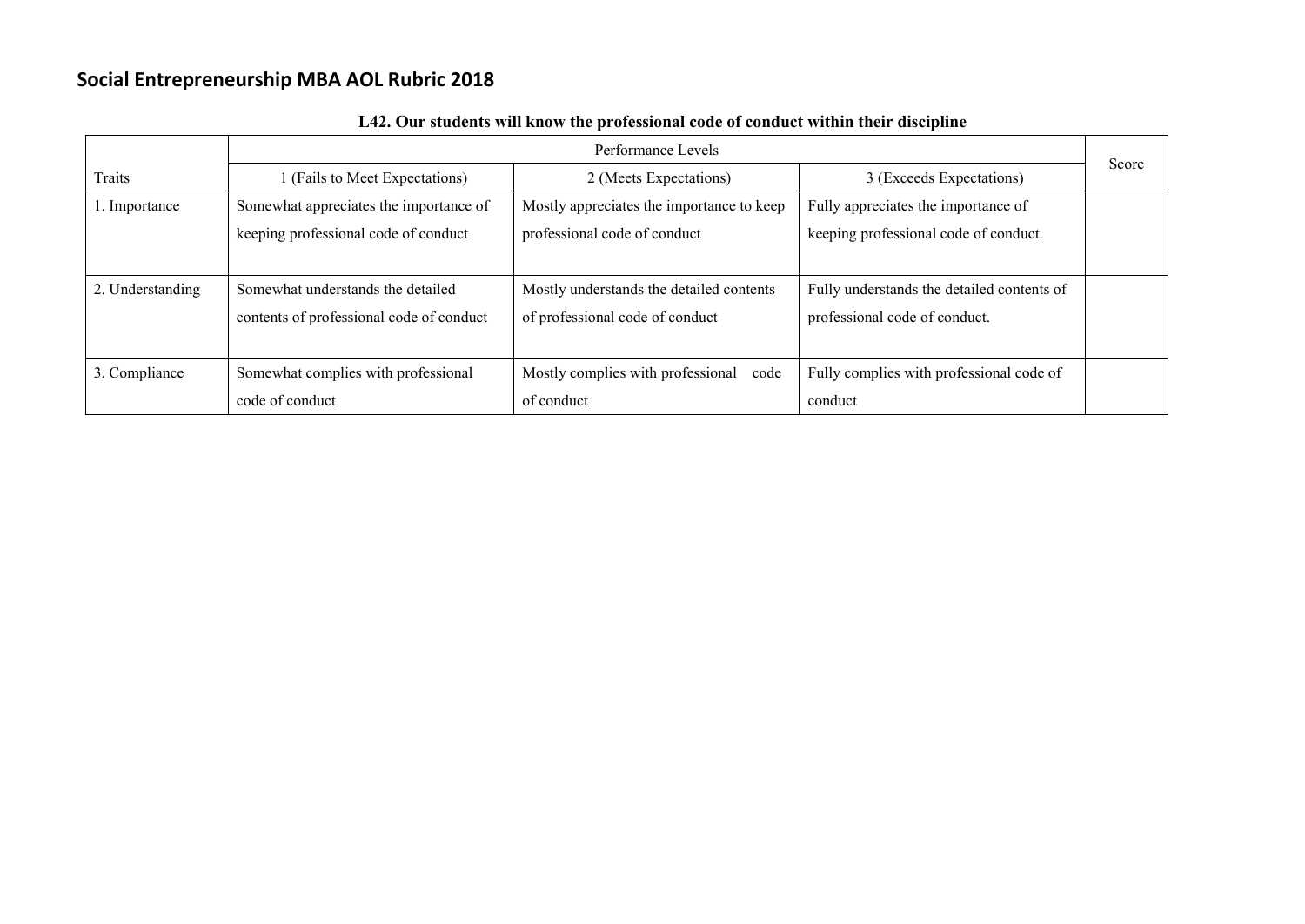|                  |                                          | Performance Levels                        |                                            |       |
|------------------|------------------------------------------|-------------------------------------------|--------------------------------------------|-------|
| Traits           | (Fails to Meet Expectations)             | 2 (Meets Expectations)                    | 3 (Exceeds Expectations)                   | Score |
| 1. Importance    | Somewhat appreciates the importance of   | Mostly appreciates the importance to keep | Fully appreciates the importance of        |       |
|                  | keeping professional code of conduct     | professional code of conduct              | keeping professional code of conduct.      |       |
|                  |                                          |                                           |                                            |       |
| 2. Understanding | Somewhat understands the detailed        | Mostly understands the detailed contents  | Fully understands the detailed contents of |       |
|                  | contents of professional code of conduct | of professional code of conduct           | professional code of conduct.              |       |
|                  |                                          |                                           |                                            |       |
| 3. Compliance    | Somewhat complies with professional      | Mostly complies with professional<br>code | Fully complies with professional code of   |       |
|                  | code of conduct                          | of conduct                                | conduct                                    |       |

**L42. Our students will know the professional code of conduct within their discipline**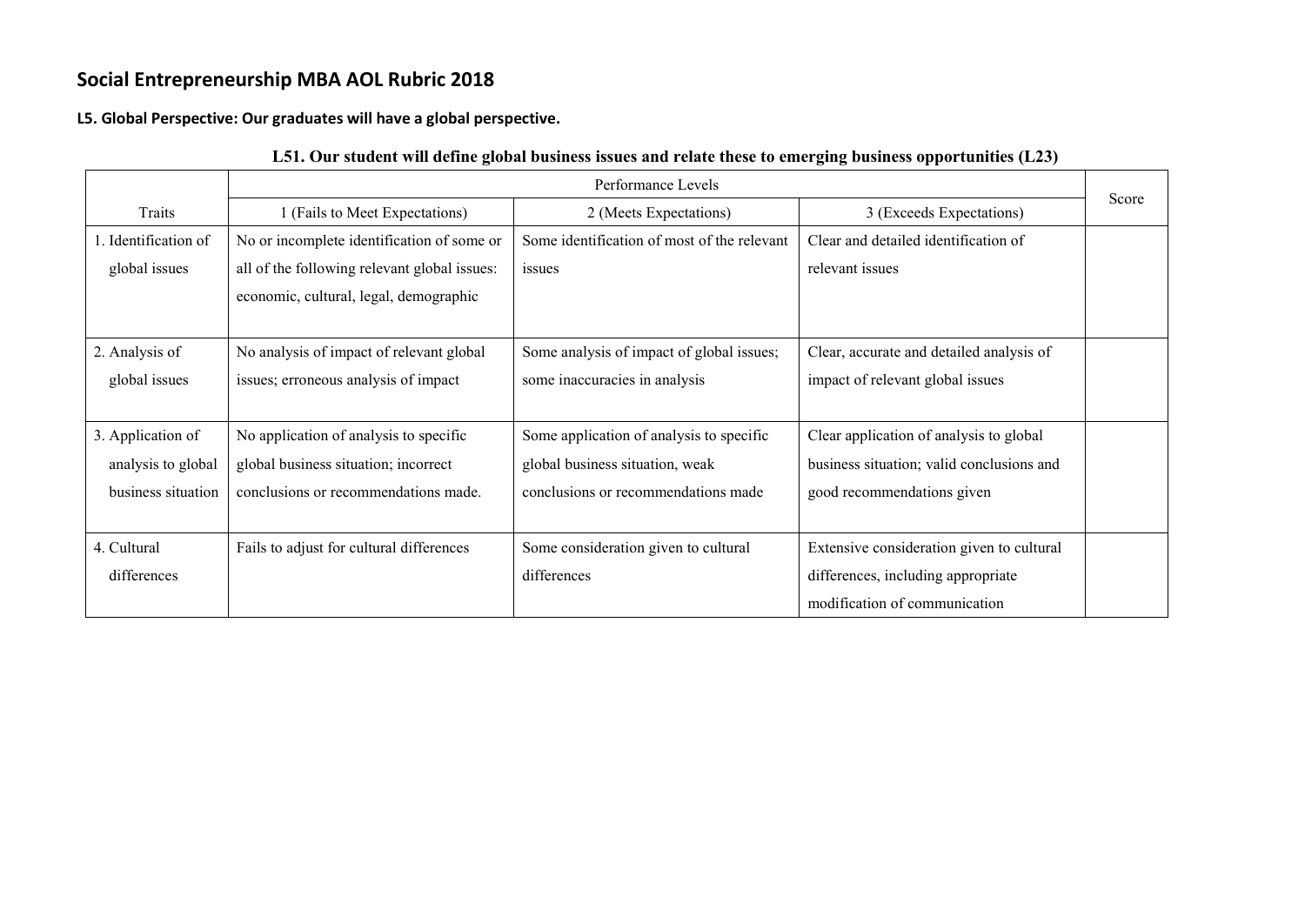**L5. Global Perspective: Our graduates will have a global perspective.**

|                      |                                              | Performance Levels                          |                                           | Score |
|----------------------|----------------------------------------------|---------------------------------------------|-------------------------------------------|-------|
| Traits               | 1 (Fails to Meet Expectations)               | 2 (Meets Expectations)                      | 3 (Exceeds Expectations)                  |       |
| l. Identification of | No or incomplete identification of some or   | Some identification of most of the relevant | Clear and detailed identification of      |       |
| global issues        | all of the following relevant global issues: | issues                                      | relevant issues                           |       |
|                      | economic, cultural, legal, demographic       |                                             |                                           |       |
|                      |                                              |                                             |                                           |       |
| 2. Analysis of       | No analysis of impact of relevant global     | Some analysis of impact of global issues;   | Clear, accurate and detailed analysis of  |       |
| global issues        | issues; erroneous analysis of impact         | some inaccuracies in analysis               | impact of relevant global issues          |       |
|                      |                                              |                                             |                                           |       |
| 3. Application of    | No application of analysis to specific       | Some application of analysis to specific    | Clear application of analysis to global   |       |
| analysis to global   | global business situation; incorrect         | global business situation, weak             | business situation; valid conclusions and |       |
| business situation   | conclusions or recommendations made.         | conclusions or recommendations made         | good recommendations given                |       |
|                      |                                              |                                             |                                           |       |
| 4. Cultural          | Fails to adjust for cultural differences     | Some consideration given to cultural        | Extensive consideration given to cultural |       |
| differences          |                                              | differences                                 | differences, including appropriate        |       |
|                      |                                              |                                             | modification of communication             |       |

### **L51. Our student will define global business issues and relate these to emerging business opportunities (L23)**